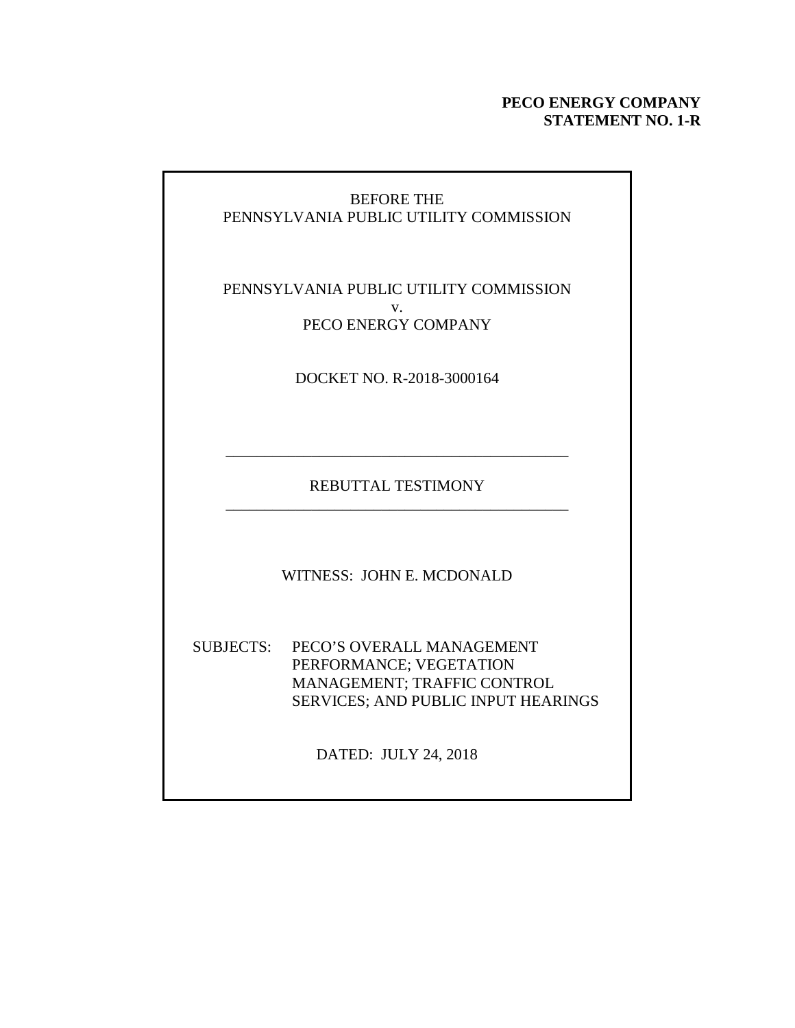### **PECO ENERGY COMPANY STATEMENT NO. 1-R**

### BEFORE THE PENNSYLVANIA PUBLIC UTILITY COMMISSION

### PENNSYLVANIA PUBLIC UTILITY COMMISSION v. PECO ENERGY COMPANY

DOCKET NO. R-2018-3000164

REBUTTAL TESTIMONY \_\_\_\_\_\_\_\_\_\_\_\_\_\_\_\_\_\_\_\_\_\_\_\_\_\_\_\_\_\_\_\_\_\_\_\_\_\_\_\_\_\_\_\_

\_\_\_\_\_\_\_\_\_\_\_\_\_\_\_\_\_\_\_\_\_\_\_\_\_\_\_\_\_\_\_\_\_\_\_\_\_\_\_\_\_\_\_\_

WITNESS: JOHN E. MCDONALD

SUBJECTS: PECO'S OVERALL MANAGEMENT PERFORMANCE; VEGETATION MANAGEMENT; TRAFFIC CONTROL SERVICES; AND PUBLIC INPUT HEARINGS

DATED: JULY 24, 2018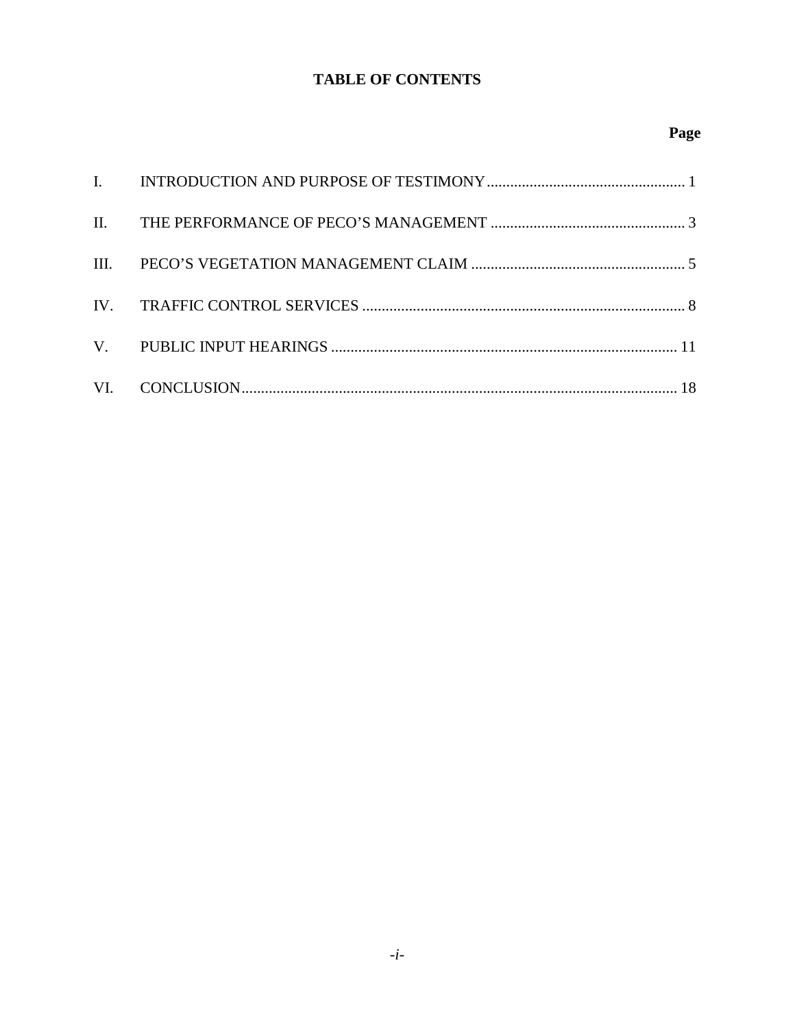### **TABLE OF CONTENTS**

## Page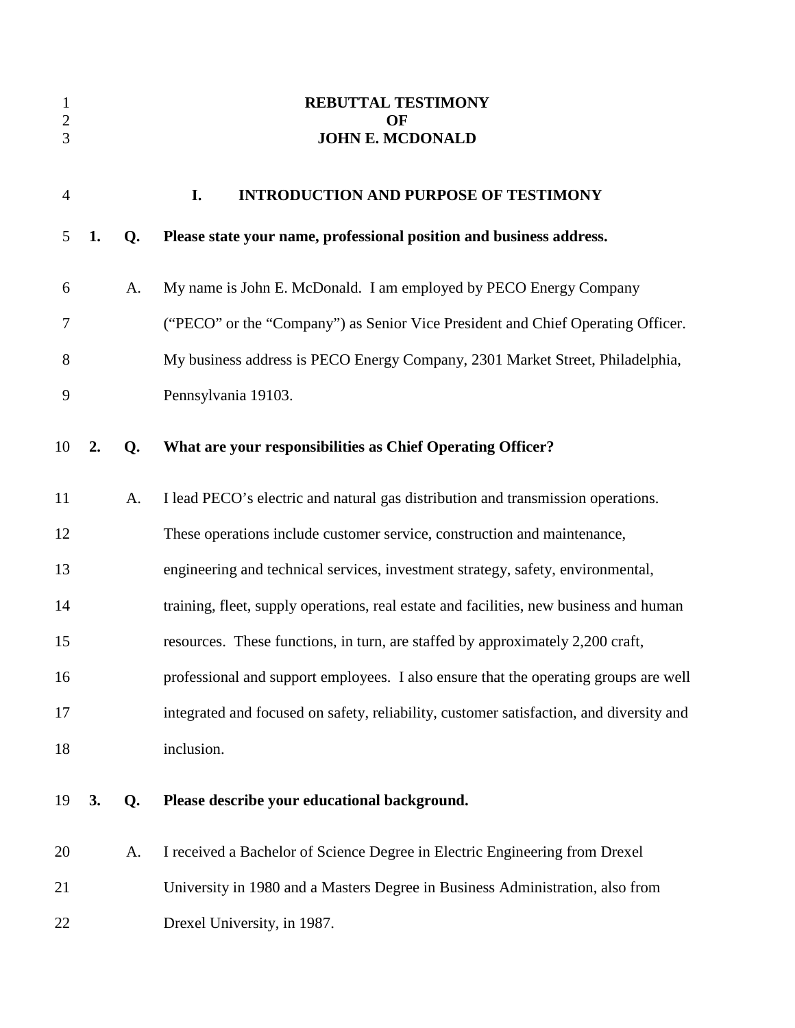| $\mathbf{1}$<br>$\sqrt{2}$<br>3 |    |    | <b>REBUTTAL TESTIMONY</b><br>OF<br><b>JOHN E. MCDONALD</b>                              |
|---------------------------------|----|----|-----------------------------------------------------------------------------------------|
| $\overline{4}$                  |    |    | I.<br><b>INTRODUCTION AND PURPOSE OF TESTIMONY</b>                                      |
| 5                               | 1. | Q. | Please state your name, professional position and business address.                     |
| 6                               |    | A. | My name is John E. McDonald. I am employed by PECO Energy Company                       |
| 7                               |    |    | ("PECO" or the "Company") as Senior Vice President and Chief Operating Officer.         |
| 8                               |    |    | My business address is PECO Energy Company, 2301 Market Street, Philadelphia,           |
| 9                               |    |    | Pennsylvania 19103.                                                                     |
| 10                              | 2. | Q. | What are your responsibilities as Chief Operating Officer?                              |
| 11                              |    | A. | I lead PECO's electric and natural gas distribution and transmission operations.        |
| 12                              |    |    | These operations include customer service, construction and maintenance,                |
| 13                              |    |    | engineering and technical services, investment strategy, safety, environmental,         |
| 14                              |    |    | training, fleet, supply operations, real estate and facilities, new business and human  |
| 15                              |    |    | resources. These functions, in turn, are staffed by approximately 2,200 craft,          |
| 16                              |    |    | professional and support employees. I also ensure that the operating groups are well    |
| 17                              |    |    | integrated and focused on safety, reliability, customer satisfaction, and diversity and |
| 18                              |    |    | inclusion.                                                                              |
| 19                              | 3. | Q. | Please describe your educational background.                                            |
| 20                              |    | A. | I received a Bachelor of Science Degree in Electric Engineering from Drexel             |
| 21                              |    |    | University in 1980 and a Masters Degree in Business Administration, also from           |
| 22                              |    |    | Drexel University, in 1987.                                                             |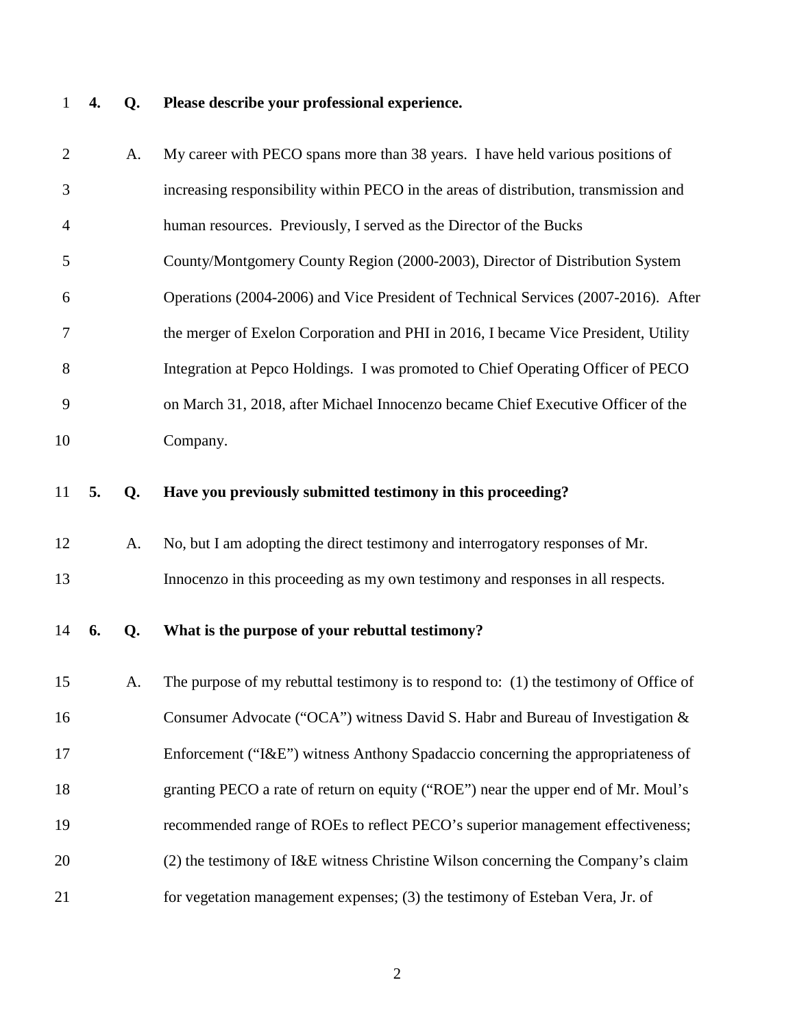## 1 **4. Q. Please describe your professional experience.**

| $\overline{2}$ |    | A. | My career with PECO spans more than 38 years. I have held various positions of        |
|----------------|----|----|---------------------------------------------------------------------------------------|
| 3              |    |    | increasing responsibility within PECO in the areas of distribution, transmission and  |
| $\overline{4}$ |    |    | human resources. Previously, I served as the Director of the Bucks                    |
| 5              |    |    | County/Montgomery County Region (2000-2003), Director of Distribution System          |
| 6              |    |    | Operations (2004-2006) and Vice President of Technical Services (2007-2016). After    |
| 7              |    |    | the merger of Exelon Corporation and PHI in 2016, I became Vice President, Utility    |
| 8              |    |    | Integration at Pepco Holdings. I was promoted to Chief Operating Officer of PECO      |
| 9              |    |    | on March 31, 2018, after Michael Innocenzo became Chief Executive Officer of the      |
| 10             |    |    | Company.                                                                              |
| 11             | 5. | Q. | Have you previously submitted testimony in this proceeding?                           |
| 12             |    | A. | No, but I am adopting the direct testimony and interrogatory responses of Mr.         |
|                |    |    |                                                                                       |
| 13             |    |    | Innocenzo in this proceeding as my own testimony and responses in all respects.       |
| 14             | 6. | Q. | What is the purpose of your rebuttal testimony?                                       |
| 15             |    | A. | The purpose of my rebuttal testimony is to respond to: (1) the testimony of Office of |
| 16             |    |    | Consumer Advocate ("OCA") witness David S. Habr and Bureau of Investigation &         |
| 17             |    |    | Enforcement ("I&E") witness Anthony Spadaccio concerning the appropriateness of       |
| 18             |    |    | granting PECO a rate of return on equity ("ROE") near the upper end of Mr. Moul's     |
| 19             |    |    | recommended range of ROEs to reflect PECO's superior management effectiveness;        |
| 20             |    |    | (2) the testimony of I&E witness Christine Wilson concerning the Company's claim      |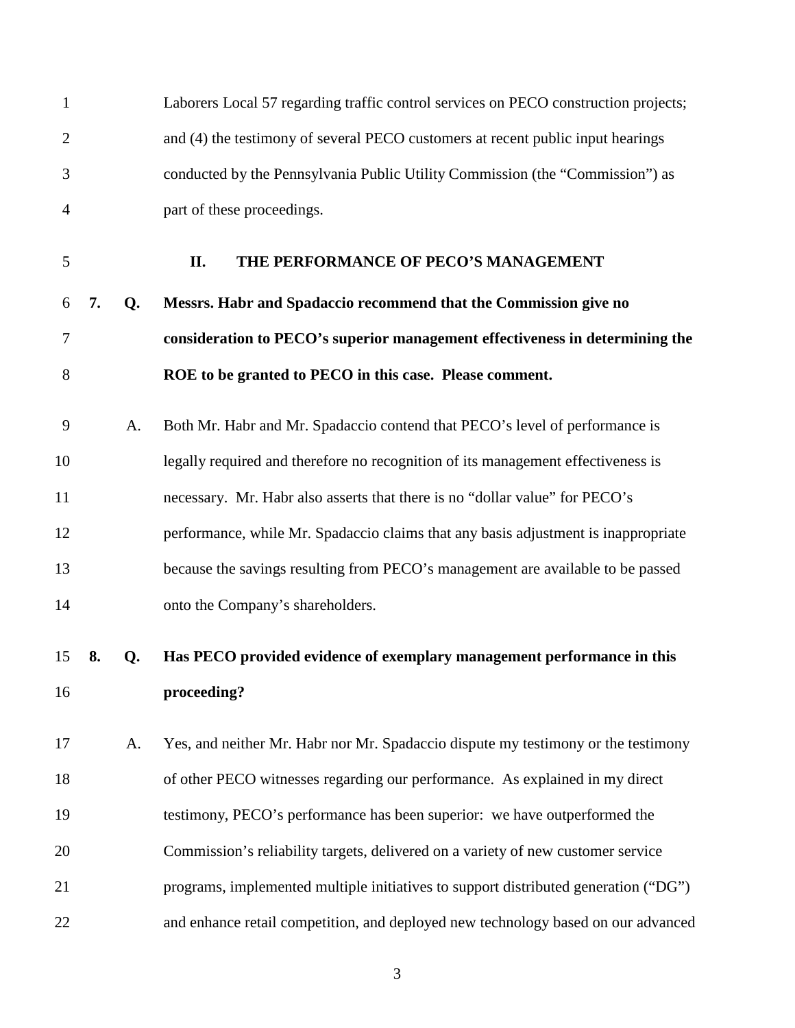|    |    | Laborers Local 57 regarding traffic control services on PECO construction projects; |
|----|----|-------------------------------------------------------------------------------------|
|    |    | and (4) the testimony of several PECO customers at recent public input hearings     |
|    |    | conducted by the Pennsylvania Public Utility Commission (the "Commission") as       |
|    |    | part of these proceedings.                                                          |
|    |    | THE PERFORMANCE OF PECO'S MANAGEMENT<br>II.                                         |
| 7. | Q. | Messrs. Habr and Spadaccio recommend that the Commission give no                    |
|    |    | consideration to PECO's superior management effectiveness in determining the        |
|    |    | ROE to be granted to PECO in this case. Please comment.                             |
|    | A. | Both Mr. Habr and Mr. Spadaccio contend that PECO's level of performance is         |
|    |    | legally required and therefore no recognition of its management effectiveness is    |
|    |    | necessary. Mr. Habr also asserts that there is no "dollar value" for PECO's         |
|    |    | performance, while Mr. Spadaccio claims that any basis adjustment is inappropriate  |
|    |    | because the savings resulting from PECO's management are available to be passed     |
|    |    | onto the Company's shareholders.                                                    |
| 8. | Q. | Has PECO provided evidence of exemplary management performance in this              |
|    |    | proceeding?                                                                         |
|    | A. | Yes, and neither Mr. Habr nor Mr. Spadaccio dispute my testimony or the testimony   |
|    |    | of other PECO witnesses regarding our performance. As explained in my direct        |
|    |    | testimony, PECO's performance has been superior: we have outperformed the           |
|    |    | Commission's reliability targets, delivered on a variety of new customer service    |
|    |    | programs, implemented multiple initiatives to support distributed generation ("DG") |
|    |    | and enhance retail competition, and deployed new technology based on our advanced   |
|    |    |                                                                                     |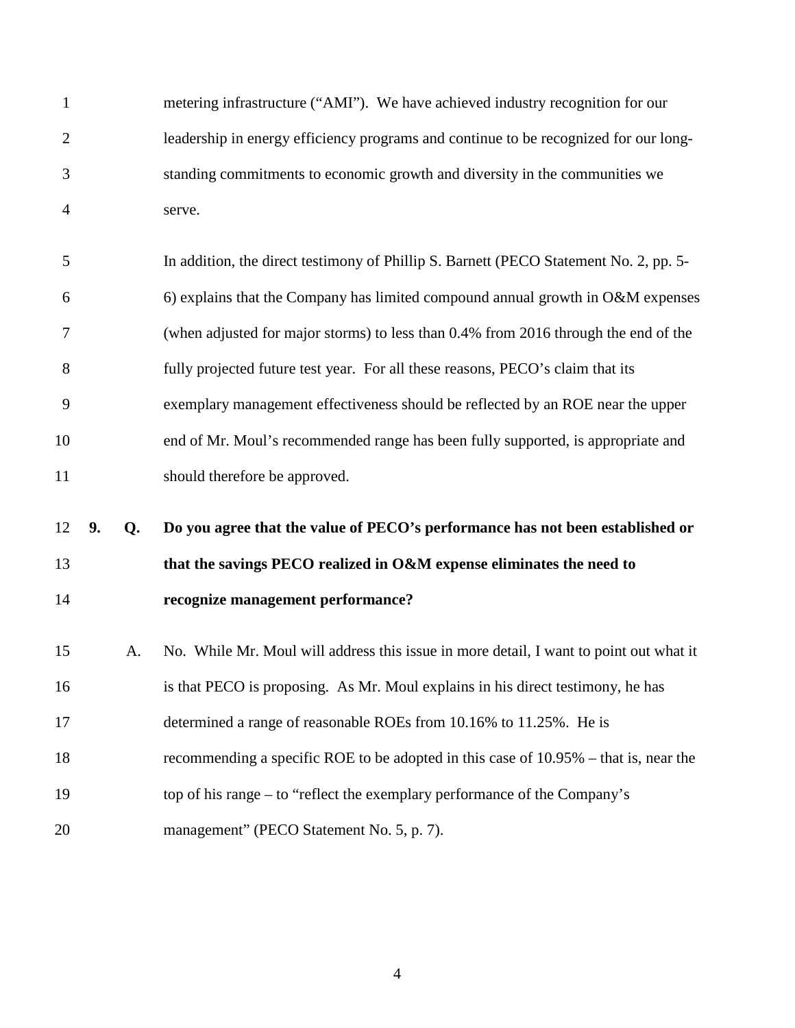| 1              |    |    | metering infrastructure ("AMI"). We have achieved industry recognition for our         |
|----------------|----|----|----------------------------------------------------------------------------------------|
| $\overline{2}$ |    |    | leadership in energy efficiency programs and continue to be recognized for our long-   |
| 3              |    |    | standing commitments to economic growth and diversity in the communities we            |
| $\overline{4}$ |    |    | serve.                                                                                 |
| 5              |    |    | In addition, the direct testimony of Phillip S. Barnett (PECO Statement No. 2, pp. 5-  |
| 6              |    |    | 6) explains that the Company has limited compound annual growth in O&M expenses        |
| 7              |    |    | (when adjusted for major storms) to less than 0.4% from 2016 through the end of the    |
| $8\,$          |    |    | fully projected future test year. For all these reasons, PECO's claim that its         |
| 9              |    |    | exemplary management effectiveness should be reflected by an ROE near the upper        |
| 10             |    |    | end of Mr. Moul's recommended range has been fully supported, is appropriate and       |
| 11             |    |    | should therefore be approved.                                                          |
| 12             | 9. | Q. | Do you agree that the value of PECO's performance has not been established or          |
| 13             |    |    | that the savings PECO realized in O&M expense eliminates the need to                   |
| 14             |    |    | recognize management performance?                                                      |
| 15             |    | A. | No. While Mr. Moul will address this issue in more detail, I want to point out what it |
| 16             |    |    | is that PECO is proposing. As Mr. Moul explains in his direct testimony, he has        |
| 17             |    |    | determined a range of reasonable ROEs from 10.16% to 11.25%. He is                     |
| 18             |    |    | recommending a specific ROE to be adopted in this case of 10.95% – that is, near the   |
| 19             |    |    | top of his range – to "reflect the exemplary performance of the Company's              |
| 20             |    |    | management" (PECO Statement No. 5, p. 7).                                              |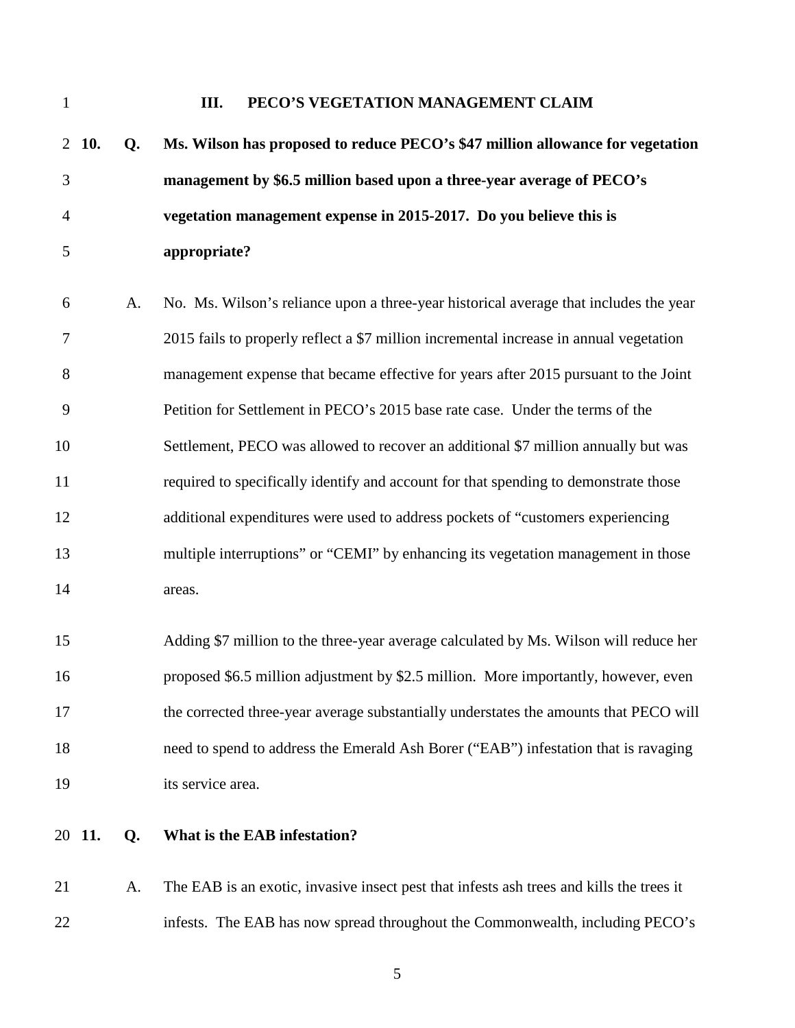| 1              |        |    | PECO'S VEGETATION MANAGEMENT CLAIM<br>III.                                               |
|----------------|--------|----|------------------------------------------------------------------------------------------|
| $\overline{2}$ | 10.    | Q. | Ms. Wilson has proposed to reduce PECO's \$47 million allowance for vegetation           |
| 3              |        |    | management by \$6.5 million based upon a three-year average of PECO's                    |
| 4              |        |    | vegetation management expense in 2015-2017. Do you believe this is                       |
| 5              |        |    | appropriate?                                                                             |
| 6              |        | A. | No. Ms. Wilson's reliance upon a three-year historical average that includes the year    |
| 7              |        |    | 2015 fails to properly reflect a \$7 million incremental increase in annual vegetation   |
| 8              |        |    | management expense that became effective for years after 2015 pursuant to the Joint      |
| 9              |        |    | Petition for Settlement in PECO's 2015 base rate case. Under the terms of the            |
| 10             |        |    | Settlement, PECO was allowed to recover an additional \$7 million annually but was       |
| 11             |        |    | required to specifically identify and account for that spending to demonstrate those     |
| 12             |        |    | additional expenditures were used to address pockets of "customers experiencing          |
| 13             |        |    | multiple interruptions" or "CEMI" by enhancing its vegetation management in those        |
| 14             |        |    | areas.                                                                                   |
| 15             |        |    | Adding \$7 million to the three-year average calculated by Ms. Wilson will reduce her    |
| 16             |        |    | proposed \$6.5 million adjustment by \$2.5 million. More importantly, however, even      |
| 17             |        |    | the corrected three-year average substantially understates the amounts that PECO will    |
| 18             |        |    | need to spend to address the Emerald Ash Borer ("EAB") infestation that is ravaging      |
| 19             |        |    | its service area.                                                                        |
|                | 20 11. | Q. | What is the EAB infestation?                                                             |
| 21             |        | A. | The EAB is an exotic, invasive insect pest that infests ash trees and kills the trees it |
| 22             |        |    | infests. The EAB has now spread throughout the Commonwealth, including PECO's            |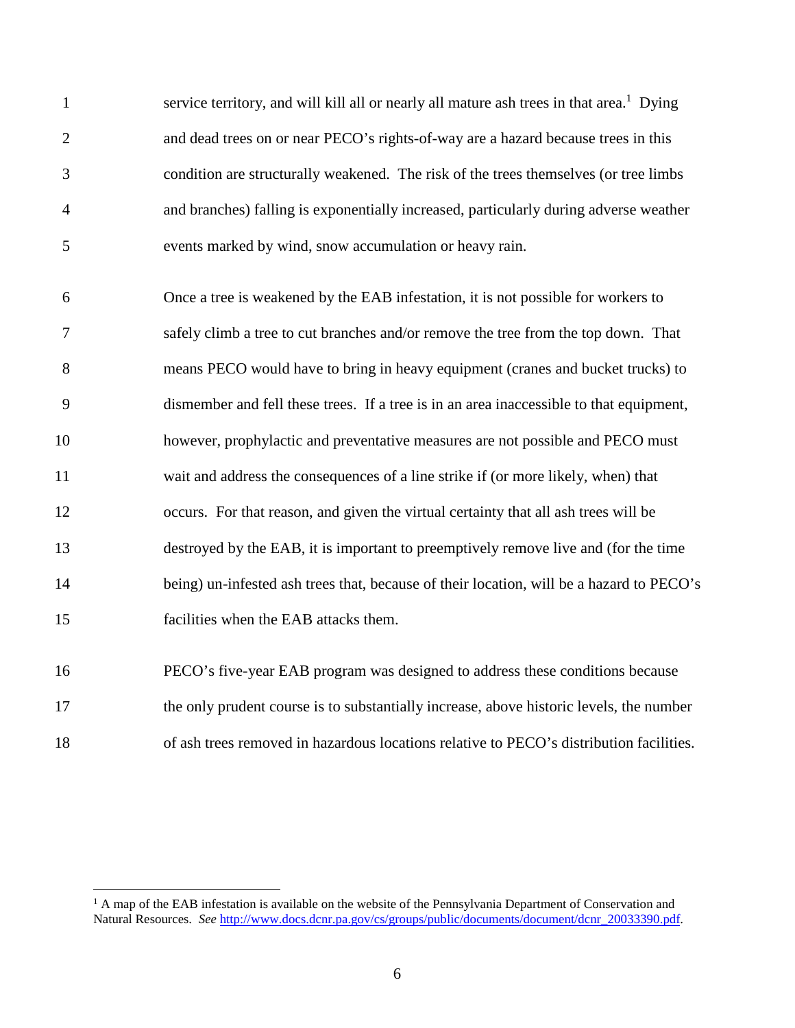1 service territory, and will kill all or nearly all mature ash trees in that area.<sup>1</sup> Dying 2 and dead trees on or near PECO's rights-of-way are a hazard because trees in this 3 condition are structurally weakened. The risk of the trees themselves (or tree limbs 4 and branches) falling is exponentially increased, particularly during adverse weather 5 events marked by wind, snow accumulation or heavy rain.

6 Once a tree is weakened by the EAB infestation, it is not possible for workers to 7 safely climb a tree to cut branches and/or remove the tree from the top down. That 8 means PECO would have to bring in heavy equipment (cranes and bucket trucks) to 9 dismember and fell these trees. If a tree is in an area inaccessible to that equipment, 10 however, prophylactic and preventative measures are not possible and PECO must 11 wait and address the consequences of a line strike if (or more likely, when) that 12 occurs. For that reason, and given the virtual certainty that all ash trees will be 13 destroyed by the EAB, it is important to preemptively remove live and (for the time 14 being) un-infested ash trees that, because of their location, will be a hazard to PECO's 15 facilities when the EAB attacks them.

16 PECO's five-year EAB program was designed to address these conditions because

17 the only prudent course is to substantially increase, above historic levels, the number

18 of ash trees removed in hazardous locations relative to PECO's distribution facilities.

<sup>&</sup>lt;sup>1</sup> A map of the EAB infestation is available on the website of the Pennsylvania Department of Conservation and Natural Resources. *See* http://www.docs.dcnr.pa.gov/cs/groups/public/documents/document/dcnr\_20033390.pdf.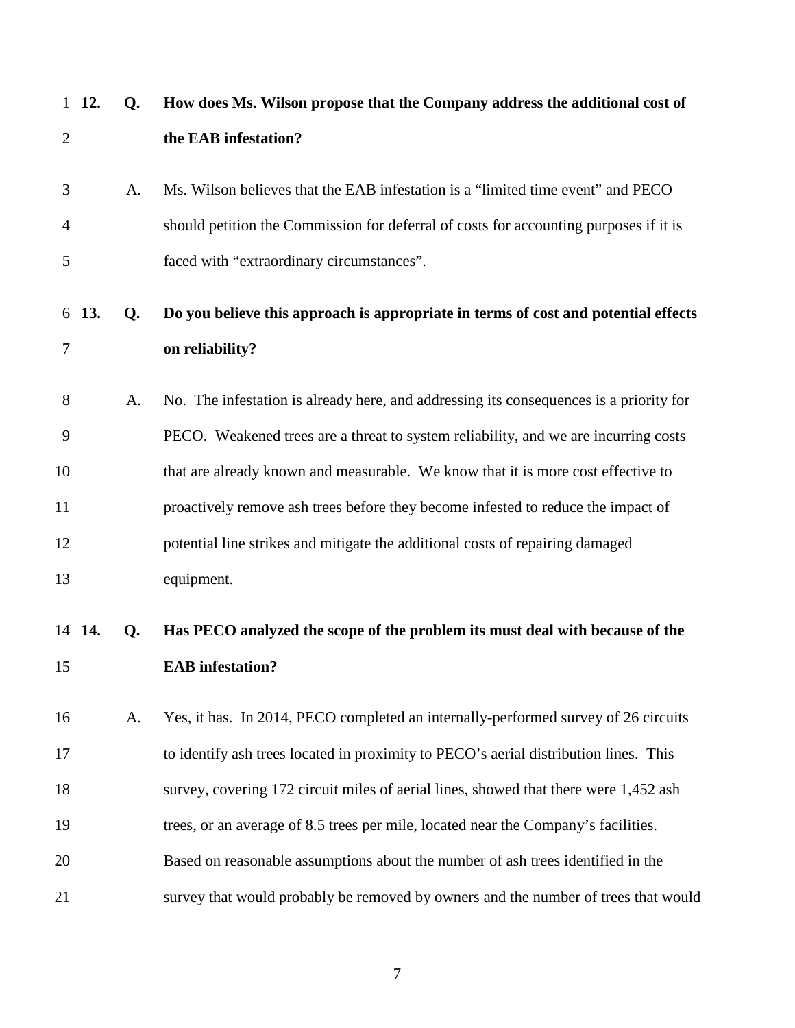|                | 1 12.  | Q. | How does Ms. Wilson propose that the Company address the additional cost of            |
|----------------|--------|----|----------------------------------------------------------------------------------------|
| $\overline{c}$ |        |    | the EAB infestation?                                                                   |
| 3              |        | A. | Ms. Wilson believes that the EAB infestation is a "limited time event" and PECO        |
| 4              |        |    | should petition the Commission for deferral of costs for accounting purposes if it is  |
| 5              |        |    | faced with "extraordinary circumstances".                                              |
|                | 6 13.  | Q. | Do you believe this approach is appropriate in terms of cost and potential effects     |
| 7              |        |    | on reliability?                                                                        |
| 8              |        | A. | No. The infestation is already here, and addressing its consequences is a priority for |
| 9              |        |    | PECO. Weakened trees are a threat to system reliability, and we are incurring costs    |
| 10             |        |    | that are already known and measurable. We know that it is more cost effective to       |
| 11             |        |    | proactively remove ash trees before they become infested to reduce the impact of       |
| 12             |        |    | potential line strikes and mitigate the additional costs of repairing damaged          |
| 13             |        |    | equipment.                                                                             |
|                | 14 14. | Q. | Has PECO analyzed the scope of the problem its must deal with because of the           |
| 15             |        |    | <b>EAB</b> infestation?                                                                |
| 16             |        | A. | Yes, it has. In 2014, PECO completed an internally-performed survey of 26 circuits     |
| 17             |        |    | to identify ash trees located in proximity to PECO's aerial distribution lines. This   |
| 18             |        |    | survey, covering 172 circuit miles of aerial lines, showed that there were 1,452 ash   |
| 19             |        |    | trees, or an average of 8.5 trees per mile, located near the Company's facilities.     |
| 20             |        |    | Based on reasonable assumptions about the number of ash trees identified in the        |
| 21             |        |    | survey that would probably be removed by owners and the number of trees that would     |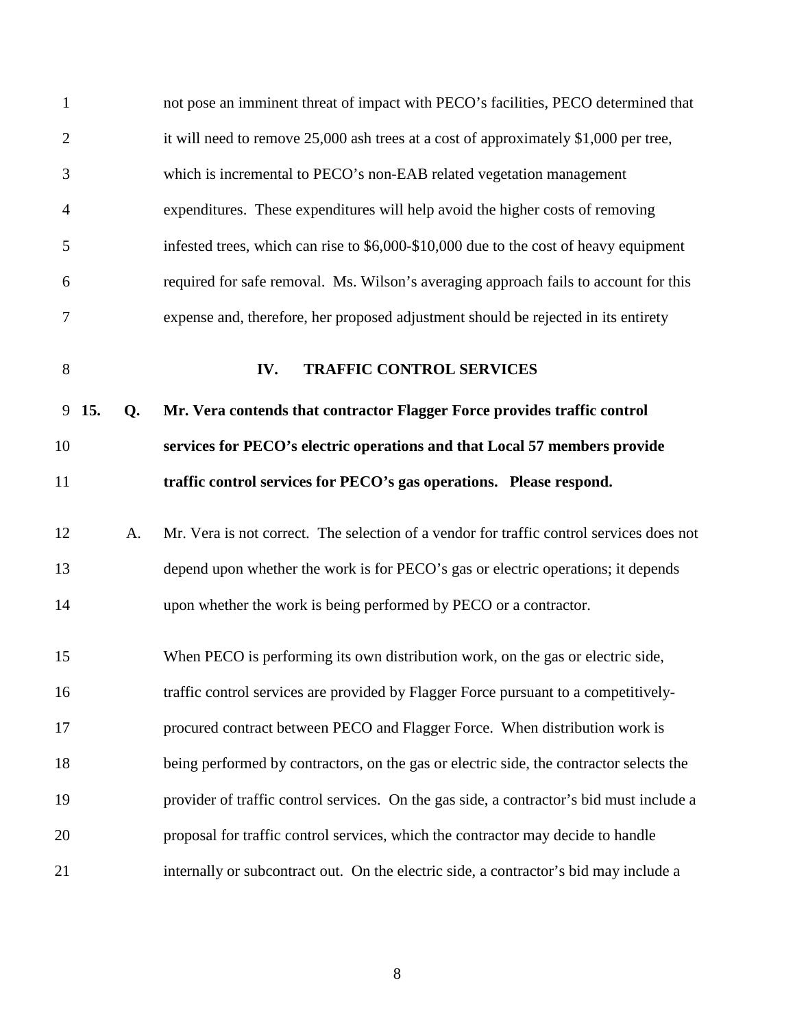| $\mathbf{1}$     |           | not pose an imminent threat of impact with PECO's facilities, PECO determined that       |
|------------------|-----------|------------------------------------------------------------------------------------------|
| $\overline{2}$   |           | it will need to remove 25,000 ash trees at a cost of approximately \$1,000 per tree,     |
| 3                |           | which is incremental to PECO's non-EAB related vegetation management                     |
| $\overline{4}$   |           | expenditures. These expenditures will help avoid the higher costs of removing            |
| 5                |           | infested trees, which can rise to \$6,000-\$10,000 due to the cost of heavy equipment    |
| 6                |           | required for safe removal. Ms. Wilson's averaging approach fails to account for this     |
| $\boldsymbol{7}$ |           | expense and, therefore, her proposed adjustment should be rejected in its entirety       |
| 8                |           | <b>TRAFFIC CONTROL SERVICES</b><br>IV.                                                   |
| 9                | 15.<br>Q. | Mr. Vera contends that contractor Flagger Force provides traffic control                 |
| 10               |           | services for PECO's electric operations and that Local 57 members provide                |
| 11               |           | traffic control services for PECO's gas operations. Please respond.                      |
| 12               | A.        | Mr. Vera is not correct. The selection of a vendor for traffic control services does not |
| 13               |           | depend upon whether the work is for PECO's gas or electric operations; it depends        |
| 14               |           |                                                                                          |
|                  |           | upon whether the work is being performed by PECO or a contractor.                        |
| 15               |           | When PECO is performing its own distribution work, on the gas or electric side,          |
| 16               |           | traffic control services are provided by Flagger Force pursuant to a competitively-      |
| 17               |           | procured contract between PECO and Flagger Force. When distribution work is              |
| 18               |           | being performed by contractors, on the gas or electric side, the contractor selects the  |
| 19               |           | provider of traffic control services. On the gas side, a contractor's bid must include a |
| 20               |           | proposal for traffic control services, which the contractor may decide to handle         |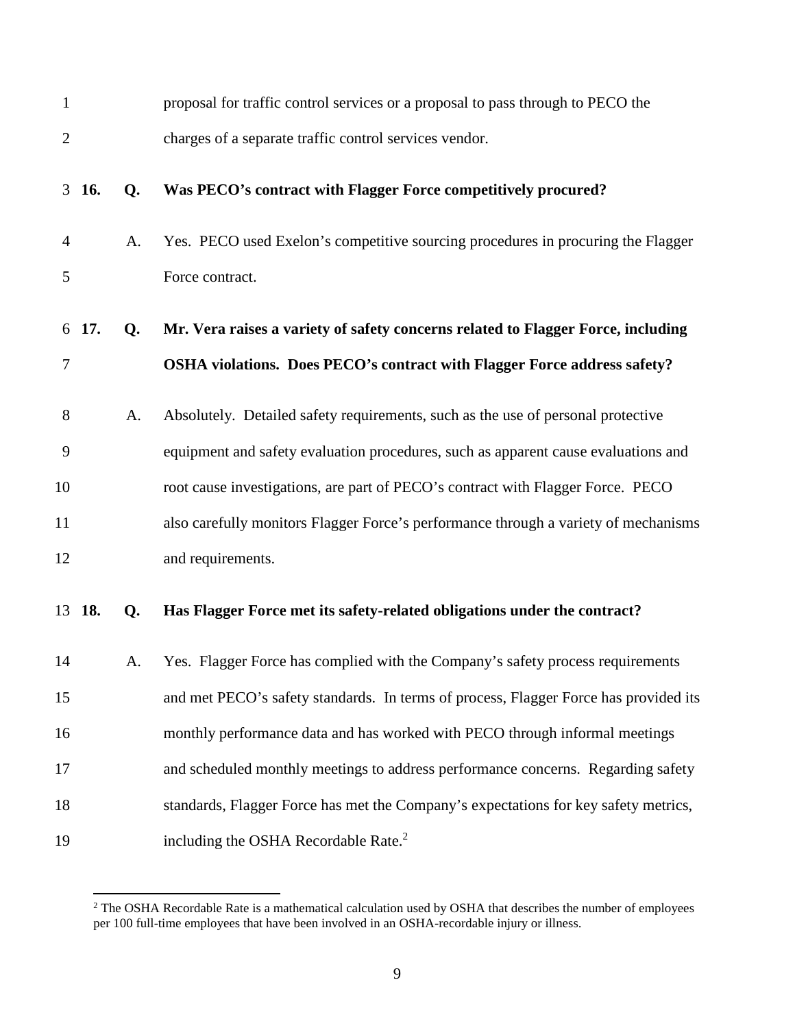| $\mathbf{1}$   |            |    | proposal for traffic control services or a proposal to pass through to PECO the      |
|----------------|------------|----|--------------------------------------------------------------------------------------|
| $\overline{c}$ |            |    | charges of a separate traffic control services vendor.                               |
|                | $3\;\;16.$ | Q. | Was PECO's contract with Flagger Force competitively procured?                       |
| 4              |            | A. | Yes. PECO used Exelon's competitive sourcing procedures in procuring the Flagger     |
| 5              |            |    | Force contract.                                                                      |
|                | 6 17.      | Q. | Mr. Vera raises a variety of safety concerns related to Flagger Force, including     |
| 7              |            |    | OSHA violations. Does PECO's contract with Flagger Force address safety?             |
| 8              |            | A. | Absolutely. Detailed safety requirements, such as the use of personal protective     |
| 9              |            |    | equipment and safety evaluation procedures, such as apparent cause evaluations and   |
| 10             |            |    | root cause investigations, are part of PECO's contract with Flagger Force. PECO      |
| 11             |            |    | also carefully monitors Flagger Force's performance through a variety of mechanisms  |
| 12             |            |    | and requirements.                                                                    |
|                | 13 18.     | Q. | Has Flagger Force met its safety-related obligations under the contract?             |
| 14             |            | A. | Yes. Flagger Force has complied with the Company's safety process requirements       |
| 15             |            |    | and met PECO's safety standards. In terms of process, Flagger Force has provided its |
| 16             |            |    | monthly performance data and has worked with PECO through informal meetings          |
| 17             |            |    | and scheduled monthly meetings to address performance concerns. Regarding safety     |
| 18             |            |    | standards, Flagger Force has met the Company's expectations for key safety metrics,  |
| 19             |            |    | including the OSHA Recordable Rate. <sup>2</sup>                                     |

<sup>&</sup>lt;sup>2</sup> The OSHA Recordable Rate is a mathematical calculation used by OSHA that describes the number of employees per 100 full-time employees that have been involved in an OSHA-recordable injury or illness.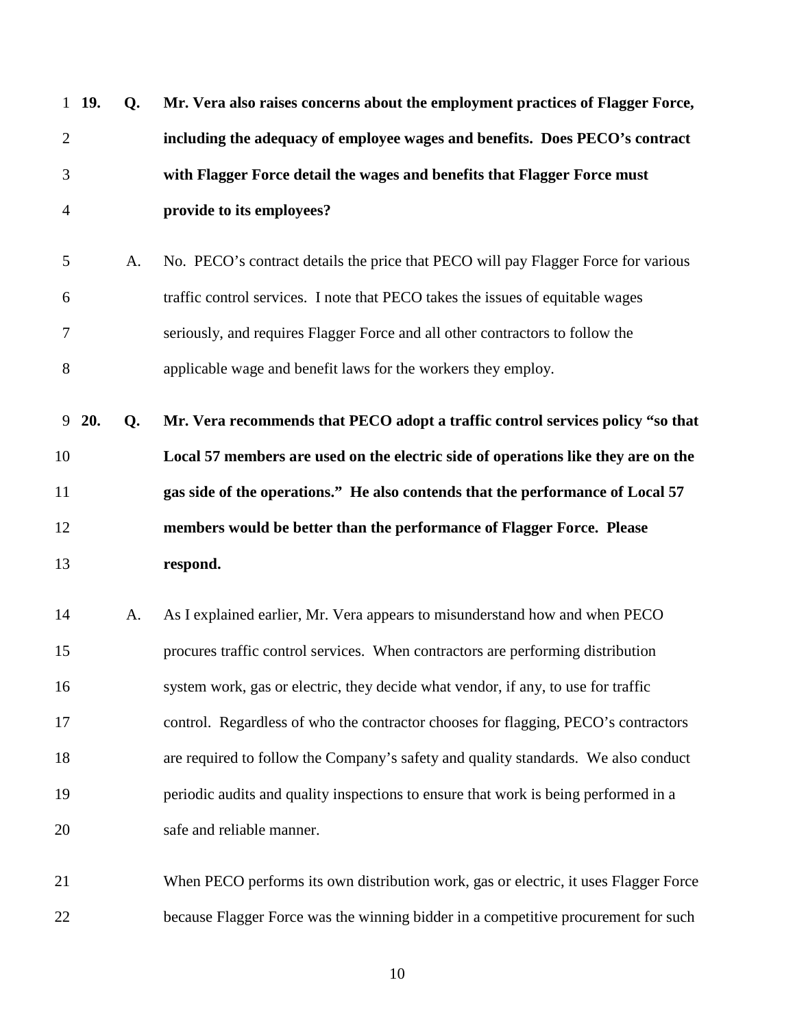| 1 19.          | Q. | Mr. Vera also raises concerns about the employment practices of Flagger Force,       |
|----------------|----|--------------------------------------------------------------------------------------|
| $\overline{2}$ |    | including the adequacy of employee wages and benefits. Does PECO's contract          |
| 3              |    | with Flagger Force detail the wages and benefits that Flagger Force must             |
| $\overline{4}$ |    | provide to its employees?                                                            |
| 5              | A. | No. PECO's contract details the price that PECO will pay Flagger Force for various   |
| 6              |    | traffic control services. I note that PECO takes the issues of equitable wages       |
| 7              |    | seriously, and requires Flagger Force and all other contractors to follow the        |
| $8\,$          |    | applicable wage and benefit laws for the workers they employ.                        |
| 9<br>20.       | Q. | Mr. Vera recommends that PECO adopt a traffic control services policy "so that       |
| 10             |    | Local 57 members are used on the electric side of operations like they are on the    |
| 11             |    | gas side of the operations." He also contends that the performance of Local 57       |
| 12             |    | members would be better than the performance of Flagger Force. Please                |
| 13             |    | respond.                                                                             |
| 14             | A. | As I explained earlier, Mr. Vera appears to misunderstand how and when PECO          |
| 15             |    | procures traffic control services. When contractors are performing distribution      |
| 16             |    | system work, gas or electric, they decide what vendor, if any, to use for traffic    |
| 17             |    | control. Regardless of who the contractor chooses for flagging, PECO's contractors   |
| 18             |    | are required to follow the Company's safety and quality standards. We also conduct   |
| 19             |    | periodic audits and quality inspections to ensure that work is being performed in a  |
| 20             |    | safe and reliable manner.                                                            |
| 21             |    | When PECO performs its own distribution work, gas or electric, it uses Flagger Force |
| 22             |    | because Flagger Force was the winning bidder in a competitive procurement for such   |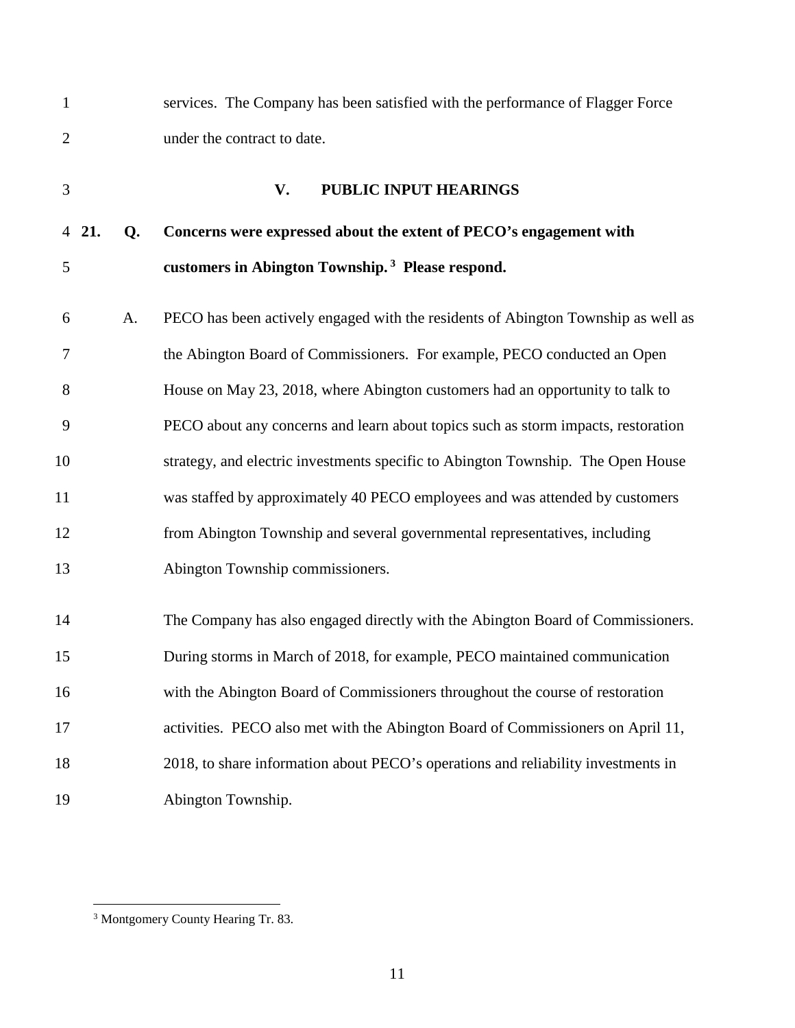| $\mathbf{1}$   |       |    | services. The Company has been satisfied with the performance of Flagger Force    |
|----------------|-------|----|-----------------------------------------------------------------------------------|
| $\overline{2}$ |       |    | under the contract to date.                                                       |
| 3              |       |    | PUBLIC INPUT HEARINGS<br>V.                                                       |
|                | 4 21. | Q. | Concerns were expressed about the extent of PECO's engagement with                |
| 5              |       |    | customers in Abington Township. <sup>3</sup> Please respond.                      |
| 6              |       | A. | PECO has been actively engaged with the residents of Abington Township as well as |
| 7              |       |    | the Abington Board of Commissioners. For example, PECO conducted an Open          |
| 8              |       |    | House on May 23, 2018, where Abington customers had an opportunity to talk to     |
| 9              |       |    | PECO about any concerns and learn about topics such as storm impacts, restoration |
| 10             |       |    | strategy, and electric investments specific to Abington Township. The Open House  |
| 11             |       |    | was staffed by approximately 40 PECO employees and was attended by customers      |
| 12             |       |    | from Abington Township and several governmental representatives, including        |
| 13             |       |    | Abington Township commissioners.                                                  |
| 14             |       |    | The Company has also engaged directly with the Abington Board of Commissioners.   |
| 15             |       |    | During storms in March of 2018, for example, PECO maintained communication        |
| 16             |       |    | with the Abington Board of Commissioners throughout the course of restoration     |
| 17             |       |    | activities. PECO also met with the Abington Board of Commissioners on April 11,   |
| 18             |       |    | 2018, to share information about PECO's operations and reliability investments in |
| 19             |       |    | Abington Township.                                                                |

<sup>&</sup>lt;sup>3</sup> Montgomery County Hearing Tr. 83.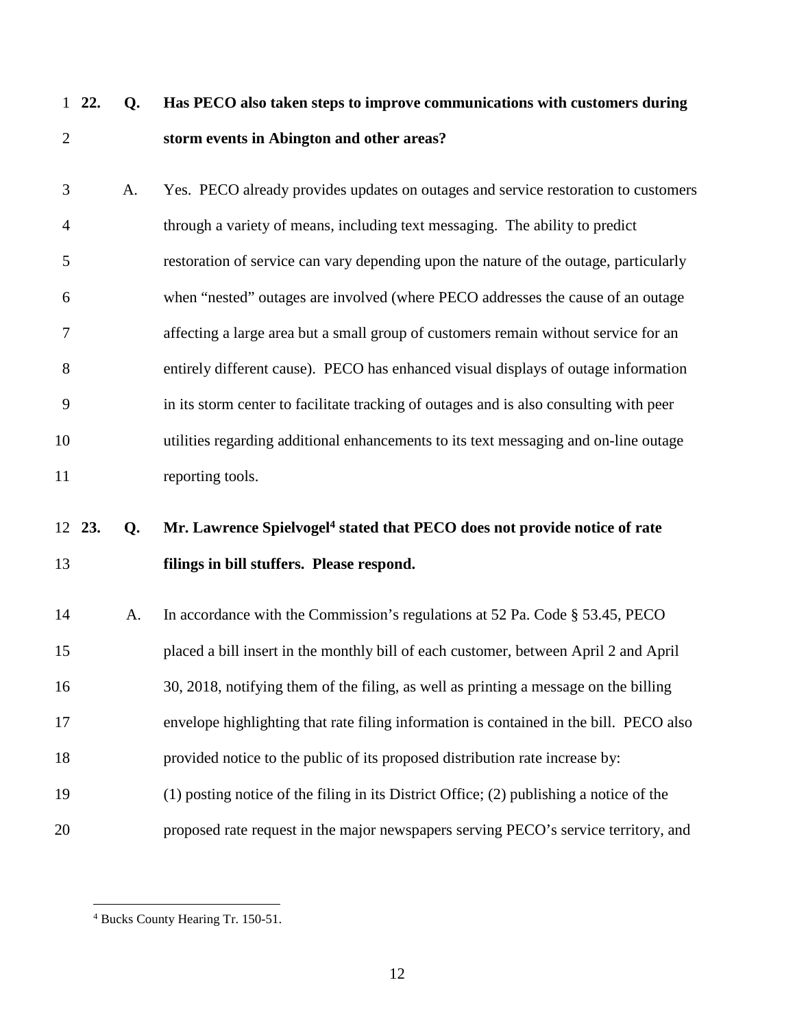# 1 **22. Q. Has PECO also taken steps to improve communications with customers during**  2 **storm events in Abington and other areas?**

| 3              | A. | Yes. PECO already provides updates on outages and service restoration to customers     |
|----------------|----|----------------------------------------------------------------------------------------|
| $\overline{4}$ |    | through a variety of means, including text messaging. The ability to predict           |
| 5              |    | restoration of service can vary depending upon the nature of the outage, particularly  |
| 6              |    | when "nested" outages are involved (where PECO addresses the cause of an outage        |
| 7              |    | affecting a large area but a small group of customers remain without service for an    |
| 8              |    | entirely different cause). PECO has enhanced visual displays of outage information     |
| 9              |    | in its storm center to facilitate tracking of outages and is also consulting with peer |
| 10             |    | utilities regarding additional enhancements to its text messaging and on-line outage   |
| 11             |    | reporting tools.                                                                       |

# **23. Q. Mr. Lawrence Spielvogel<sup>4</sup>** 12 **stated that PECO does not provide notice of rate**  13 **filings in bill stuffers. Please respond.**

14 A. In accordance with the Commission's regulations at 52 Pa. Code § 53.45, PECO 15 placed a bill insert in the monthly bill of each customer, between April 2 and April 16 30, 2018, notifying them of the filing, as well as printing a message on the billing 17 envelope highlighting that rate filing information is contained in the bill. PECO also 18 provided notice to the public of its proposed distribution rate increase by: 19 (1) posting notice of the filing in its District Office; (2) publishing a notice of the 20 proposed rate request in the major newspapers serving PECO's service territory, and

<sup>4</sup> Bucks County Hearing Tr. 150-51.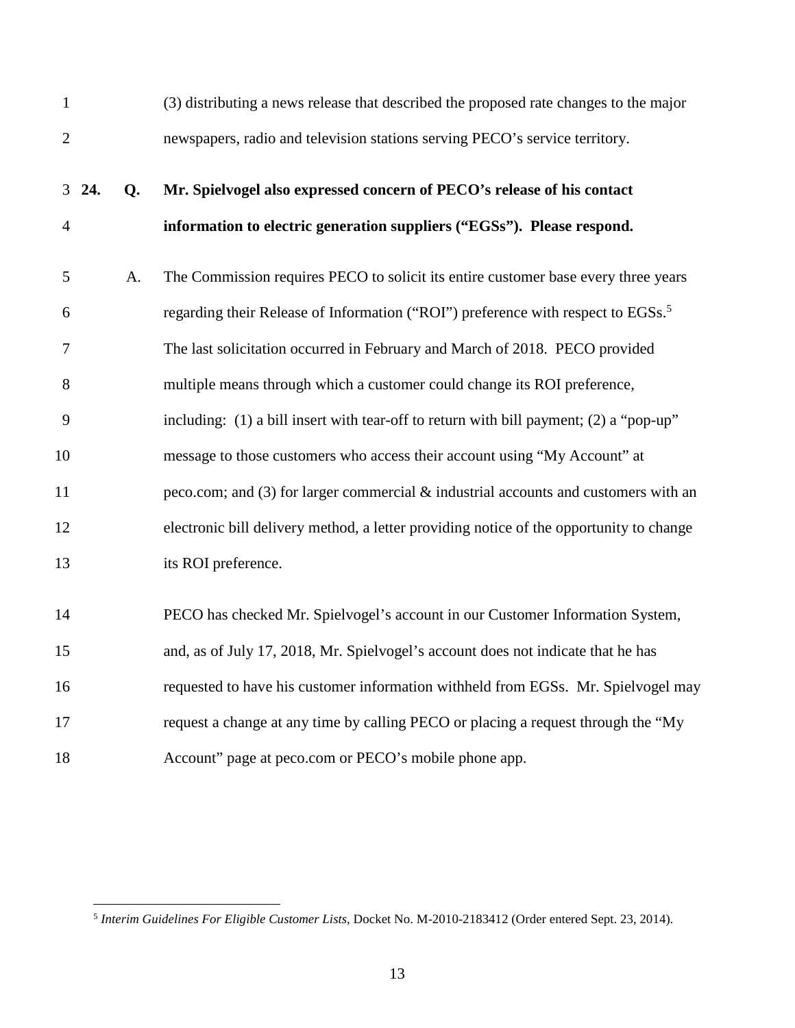| $\mathbf{1}$   |    | (3) distributing a news release that described the proposed rate changes to the major        |
|----------------|----|----------------------------------------------------------------------------------------------|
| $\overline{2}$ |    | newspapers, radio and television stations serving PECO's service territory.                  |
| $3\;\;24.$     | Q. | Mr. Spielvogel also expressed concern of PECO's release of his contact                       |
| $\overline{4}$ |    | information to electric generation suppliers ("EGSs"). Please respond.                       |
| 5              | A. | The Commission requires PECO to solicit its entire customer base every three years           |
| 6              |    | regarding their Release of Information ("ROI") preference with respect to EGSs. <sup>5</sup> |
| 7              |    | The last solicitation occurred in February and March of 2018. PECO provided                  |
| 8              |    | multiple means through which a customer could change its ROI preference,                     |
| 9              |    | including: (1) a bill insert with tear-off to return with bill payment; (2) a "pop-up"       |
| 10             |    | message to those customers who access their account using "My Account" at                    |
| 11             |    | peco.com; and $(3)$ for larger commercial $\&$ industrial accounts and customers with an     |
| 12             |    | electronic bill delivery method, a letter providing notice of the opportunity to change      |
| 13             |    | its ROI preference.                                                                          |
| 14             |    | PECO has checked Mr. Spielvogel's account in our Customer Information System,                |
| 15             |    | and, as of July 17, 2018, Mr. Spielvogel's account does not indicate that he has             |
| 16             |    | requested to have his customer information withheld from EGSs. Mr. Spielvogel may            |
| 17             |    | request a change at any time by calling PECO or placing a request through the "My            |
| 18             |    | Account" page at peco.com or PECO's mobile phone app.                                        |

<sup>5</sup> *Interim Guidelines For Eligible Customer Lists*, Docket No. M-2010-2183412 (Order entered Sept. 23, 2014).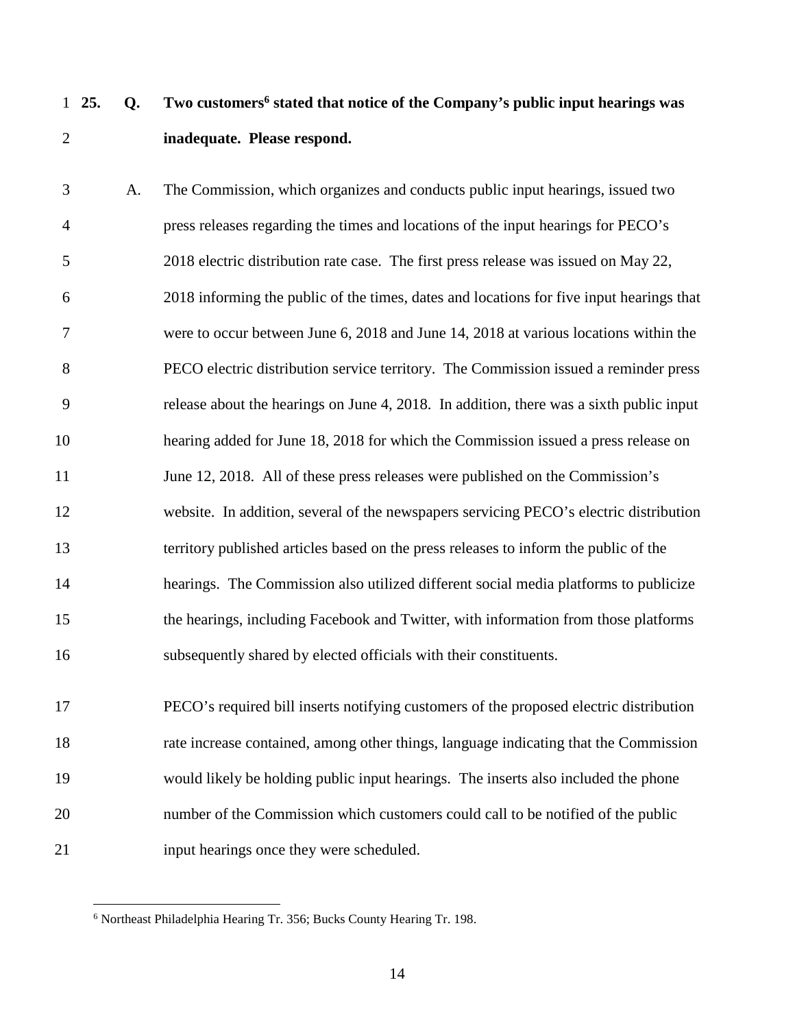## **25.** Q. Two customers<sup>6</sup> stated that notice of the Company's public input hearings was 2 **inadequate. Please respond.**

3 A. The Commission, which organizes and conducts public input hearings, issued two 4 press releases regarding the times and locations of the input hearings for PECO's 5 2018 electric distribution rate case. The first press release was issued on May 22, 6 2018 informing the public of the times, dates and locations for five input hearings that 7 were to occur between June 6, 2018 and June 14, 2018 at various locations within the 8 PECO electric distribution service territory. The Commission issued a reminder press 9 release about the hearings on June 4, 2018. In addition, there was a sixth public input 10 hearing added for June 18, 2018 for which the Commission issued a press release on 11 June 12, 2018. All of these press releases were published on the Commission's 12 website. In addition, several of the newspapers servicing PECO's electric distribution 13 territory published articles based on the press releases to inform the public of the 14 hearings. The Commission also utilized different social media platforms to publicize 15 the hearings, including Facebook and Twitter, with information from those platforms 16 subsequently shared by elected officials with their constituents.

17 PECO's required bill inserts notifying customers of the proposed electric distribution 18 rate increase contained, among other things, language indicating that the Commission 19 would likely be holding public input hearings. The inserts also included the phone 20 number of the Commission which customers could call to be notified of the public 21 input hearings once they were scheduled.

<sup>6</sup> Northeast Philadelphia Hearing Tr. 356; Bucks County Hearing Tr. 198.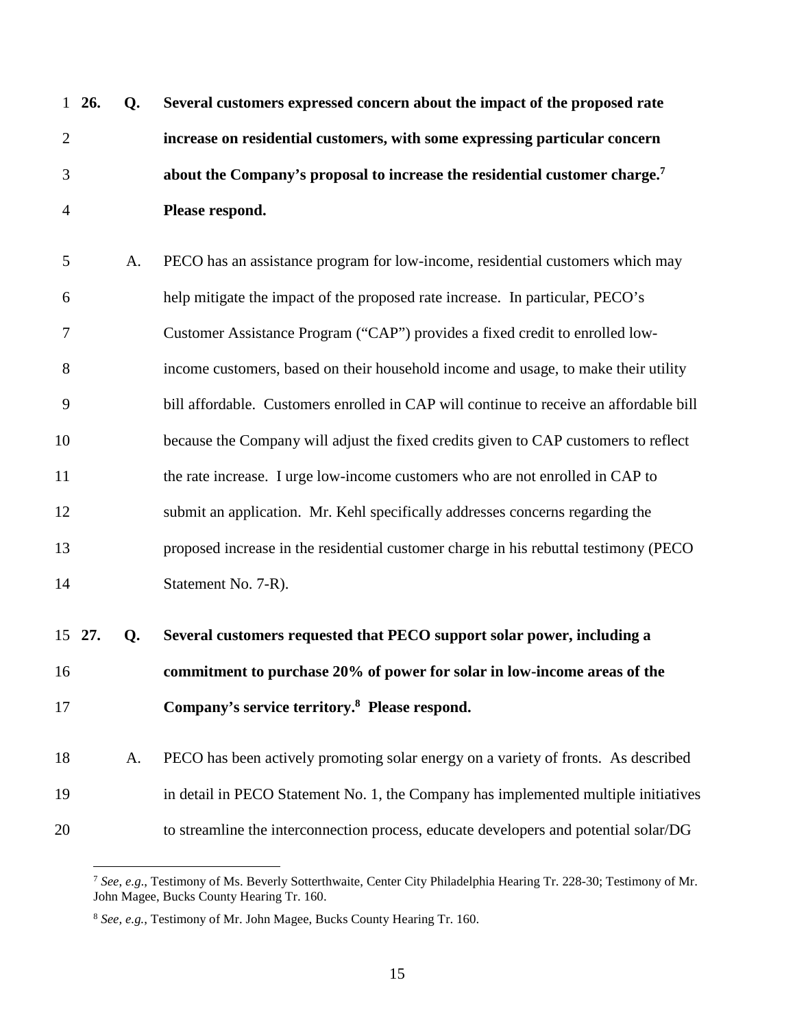|              | $1\,26.$ | Q. | Several customers expressed concern about the impact of the proposed rate              |
|--------------|----------|----|----------------------------------------------------------------------------------------|
| $\mathbf{2}$ |          |    | increase on residential customers, with some expressing particular concern             |
| 3            |          |    | about the Company's proposal to increase the residential customer charge. <sup>7</sup> |
| 4            |          |    | Please respond.                                                                        |
| 5            |          | A. | PECO has an assistance program for low-income, residential customers which may         |
| 6            |          |    | help mitigate the impact of the proposed rate increase. In particular, PECO's          |
| 7            |          |    | Customer Assistance Program ("CAP") provides a fixed credit to enrolled low-           |
| 8            |          |    | income customers, based on their household income and usage, to make their utility     |
| 9            |          |    | bill affordable. Customers enrolled in CAP will continue to receive an affordable bill |
| 10           |          |    | because the Company will adjust the fixed credits given to CAP customers to reflect    |
| 11           |          |    | the rate increase. I urge low-income customers who are not enrolled in CAP to          |
| 12           |          |    | submit an application. Mr. Kehl specifically addresses concerns regarding the          |
| 13           |          |    | proposed increase in the residential customer charge in his rebuttal testimony (PECO)  |
| 14           |          |    | Statement No. 7-R).                                                                    |
|              | 15 27.   | Q. | Several customers requested that PECO support solar power, including a                 |
| 16           |          |    | commitment to purchase 20% of power for solar in low-income areas of the               |
| 17           |          |    | Company's service territory. <sup>8</sup> Please respond.                              |
| 18           |          | A. | PECO has been actively promoting solar energy on a variety of fronts. As described     |
| 19           |          |    | in detail in PECO Statement No. 1, the Company has implemented multiple initiatives    |
| 20           |          |    | to streamline the interconnection process, educate developers and potential solar/DG   |

<sup>7</sup> *See*, *e.g*., Testimony of Ms. Beverly Sotterthwaite, Center City Philadelphia Hearing Tr. 228-30; Testimony of Mr. John Magee, Bucks County Hearing Tr. 160.

<sup>8</sup> *See, e.g.*, Testimony of Mr. John Magee, Bucks County Hearing Tr. 160.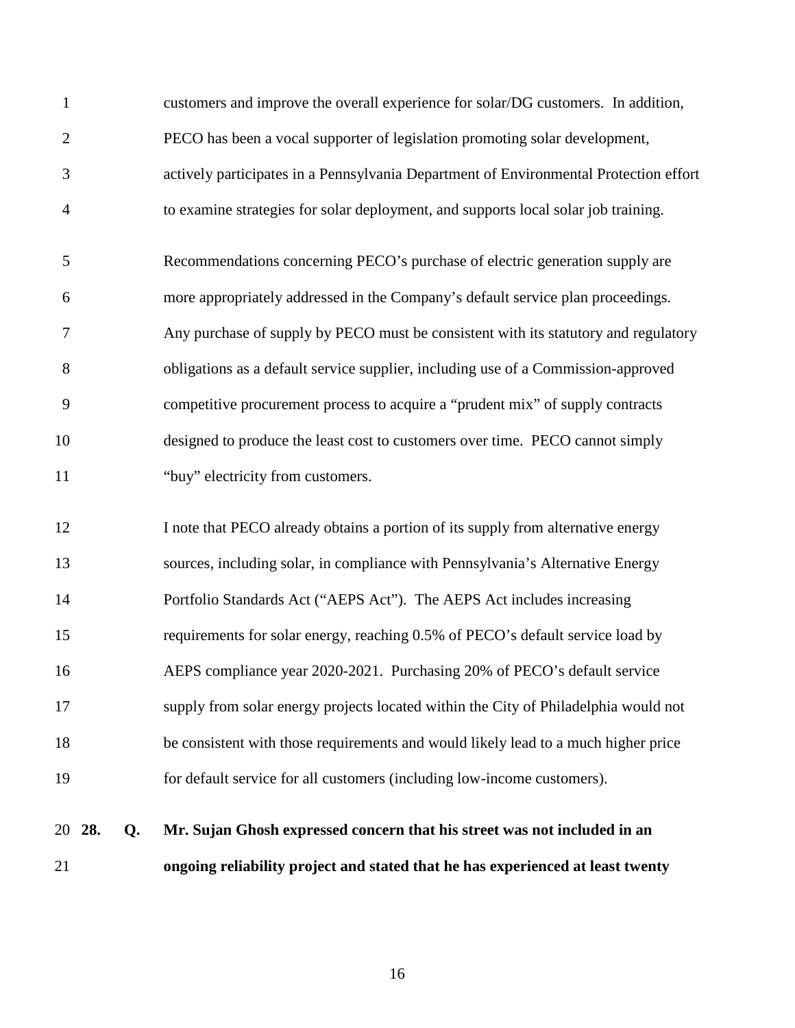| 1               | customers and improve the overall experience for solar/DG customers. In addition,     |
|-----------------|---------------------------------------------------------------------------------------|
| $\mathbf{2}$    | PECO has been a vocal supporter of legislation promoting solar development,           |
| 3               | actively participates in a Pennsylvania Department of Environmental Protection effort |
| $\overline{4}$  | to examine strategies for solar deployment, and supports local solar job training.    |
| 5               | Recommendations concerning PECO's purchase of electric generation supply are          |
| 6               | more appropriately addressed in the Company's default service plan proceedings.       |
| 7               | Any purchase of supply by PECO must be consistent with its statutory and regulatory   |
| $8\,$           | obligations as a default service supplier, including use of a Commission-approved     |
| 9               | competitive procurement process to acquire a "prudent mix" of supply contracts        |
| 10              | designed to produce the least cost to customers over time. PECO cannot simply         |
| 11              | "buy" electricity from customers.                                                     |
| 12              | I note that PECO already obtains a portion of its supply from alternative energy      |
| 13              | sources, including solar, in compliance with Pennsylvania's Alternative Energy        |
| 14              | Portfolio Standards Act ("AEPS Act"). The AEPS Act includes increasing                |
| 15              | requirements for solar energy, reaching 0.5% of PECO's default service load by        |
| 16              | AEPS compliance year 2020-2021. Purchasing 20% of PECO's default service              |
| 17              | supply from solar energy projects located within the City of Philadelphia would not   |
| 18              | be consistent with those requirements and would likely lead to a much higher price    |
| 19              | for default service for all customers (including low-income customers).               |
| 28.<br>20<br>Q. | Mr. Sujan Ghosh expressed concern that his street was not included in an              |

21 **ongoing reliability project and stated that he has experienced at least twenty**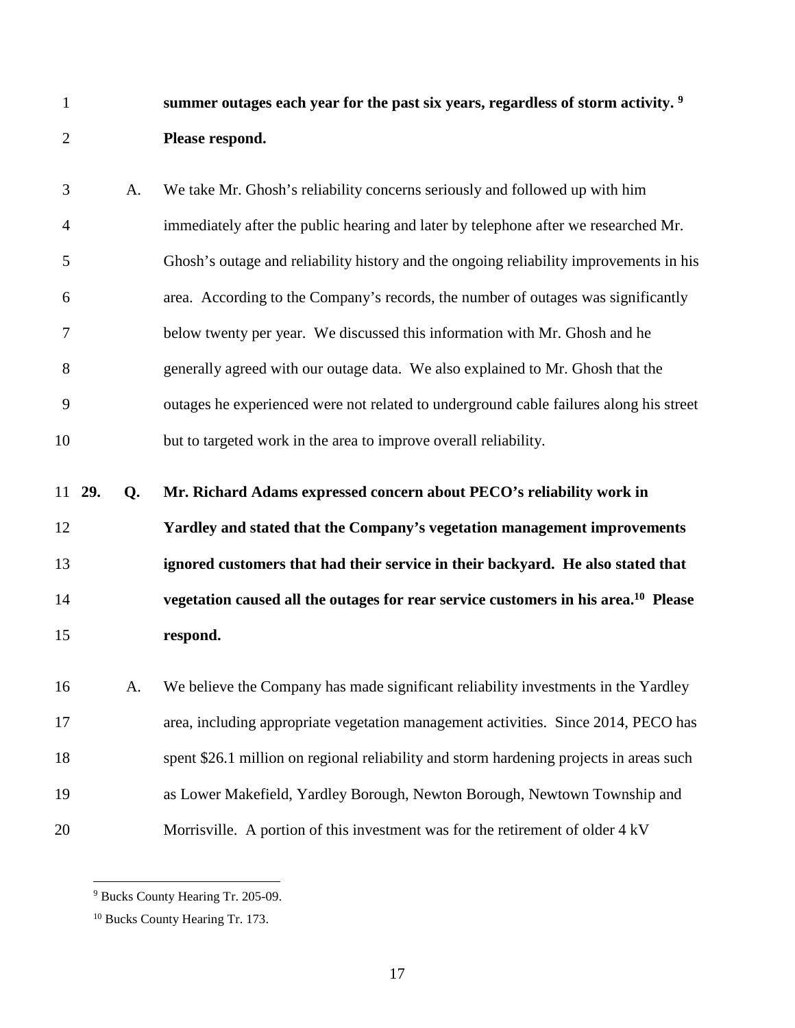**summer outages each year for the past six years, regardless of storm activity. <sup>9</sup>** 1 2 **Please respond.** 

3 A. We take Mr. Ghosh's reliability concerns seriously and followed up with him 4 immediately after the public hearing and later by telephone after we researched Mr. 5 Ghosh's outage and reliability history and the ongoing reliability improvements in his 6 area. According to the Company's records, the number of outages was significantly 7 below twenty per year. We discussed this information with Mr. Ghosh and he 8 generally agreed with our outage data. We also explained to Mr. Ghosh that the 9 outages he experienced were not related to underground cable failures along his street 10 but to targeted work in the area to improve overall reliability.

11 **29. Q. Mr. Richard Adams expressed concern about PECO's reliability work in** 

**Yardley and stated that the Company's vegetation management improvements ignored customers that had their service in their backyard. He also stated that vegetation caused all the outages for rear service customers in his area.<sup>10</sup> Please respond.** 

16 A. We believe the Company has made significant reliability investments in the Yardley 17 area, including appropriate vegetation management activities. Since 2014, PECO has 18 spent \$26.1 million on regional reliability and storm hardening projects in areas such 19 as Lower Makefield, Yardley Borough, Newton Borough, Newtown Township and 20 Morrisville. A portion of this investment was for the retirement of older 4 kV

<sup>9</sup> Bucks County Hearing Tr. 205-09.

<sup>10</sup> Bucks County Hearing Tr. 173.